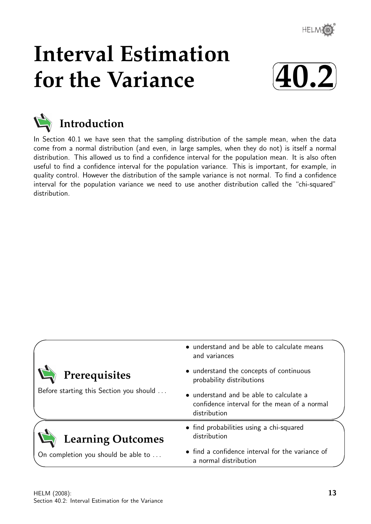

# **Interval Estimation for the Variance**





In Section 40.1 we have seen that the sampling distribution of the sample mean, when the data come from a normal distribution (and even, in large samples, when they do not) is itself a normal distribution. This allowed us to find a confidence interval for the population mean. It is also often useful to find a confidence interval for the population variance. This is important, for example, in quality control. However the distribution of the sample variance is not normal. To find a confidence interval for the population variance we need to use another distribution called the "chi-squared" distribution.

|                                         | • understand and be able to calculate means<br>and variances                                            |  |  |  |  |  |
|-----------------------------------------|---------------------------------------------------------------------------------------------------------|--|--|--|--|--|
| Prerequisites                           | • understand the concepts of continuous<br>probability distributions                                    |  |  |  |  |  |
| Before starting this Section you should | • understand and be able to calculate a<br>confidence interval for the mean of a normal<br>distribution |  |  |  |  |  |
| <b>Learning Outcomes</b>                | • find probabilities using a chi-squared<br>distribution                                                |  |  |  |  |  |
| On completion you should be able to     | • find a confidence interval for the variance of<br>a normal distribution                               |  |  |  |  |  |

✧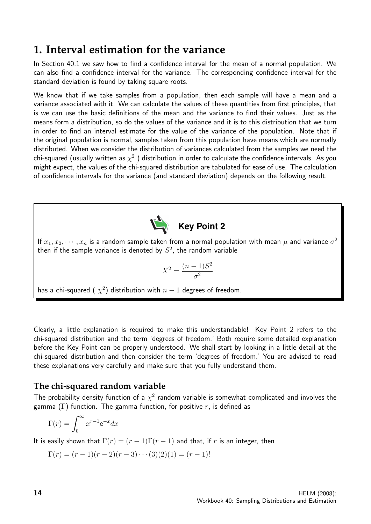## **1. Interval estimation for the variance**

In Section 40.1 we saw how to find a confidence interval for the mean of a normal population. We can also find a confidence interval for the variance. The corresponding confidence interval for the standard deviation is found by taking square roots.

We know that if we take samples from a population, then each sample will have a mean and a variance associated with it. We can calculate the values of these quantities from first principles, that is we can use the basic definitions of the mean and the variance to find their values. Just as the means form a distribution, so do the values of the variance and it is to this distribution that we turn in order to find an interval estimate for the value of the variance of the population. Note that if the original population is normal, samples taken from this population have means which are normally distributed. When we consider the distribution of variances calculated from the samples we need the chi-squared (usually written as  $\chi^2$  ) distribution in order to calculate the confidence intervals. As you might expect, the values of the chi-squared distribution are tabulated for ease of use. The calculation of confidence intervals for the variance (and standard deviation) depends on the following result.



If  $x_1, x_2, \cdots, x_n$  is a random sample taken from a normal population with mean  $\mu$  and variance  $\sigma^2$ then if the sample variance is denoted by  $S^2$ , the random variable

$$
X^2 = \frac{(n-1)S^2}{\sigma^2}
$$

has a chi-squared (  $\chi^2$ ) distribution with  $n-1$  degrees of freedom.

Clearly, a little explanation is required to make this understandable! Key Point 2 refers to the chi-squared distribution and the term 'degrees of freedom.' Both require some detailed explanation before the Key Point can be properly understood. We shall start by looking in a little detail at the chi-squared distribution and then consider the term 'degrees of freedom.' You are advised to read these explanations very carefully and make sure that you fully understand them.

## **The chi-squared random variable**

The probability density function of a  $\chi^2$  random variable is somewhat complicated and involves the gamma (Γ) function. The gamma function, for positive r, is defined as

$$
\Gamma(r) = \int_0^\infty x^{r-1} \mathrm{e}^{-x} dx
$$

It is easily shown that  $\Gamma(r) = (r-1)\Gamma(r-1)$  and that, if r is an integer, then

$$
\Gamma(r) = (r-1)(r-2)(r-3)\cdots(3)(2)(1) = (r-1)!
$$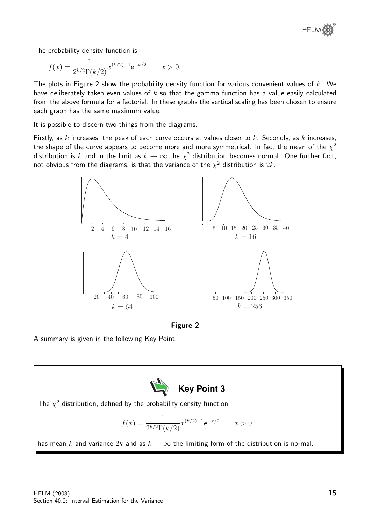

The probability density function is

$$
f(x) = \frac{1}{2^{k/2} \Gamma(k/2)} x^{(k/2) - 1} e^{-x/2} \qquad x > 0.
$$

The plots in Figure 2 show the probability density function for various convenient values of  $k$ . We have deliberately taken even values of  $k$  so that the gamma function has a value easily calculated from the above formula for a factorial. In these graphs the vertical scaling has been chosen to ensure each graph has the same maximum value.

It is possible to discern two things from the diagrams.

Firstly, as k increases, the peak of each curve occurs at values closer to  $k$ . Secondly, as  $k$  increases, the shape of the curve appears to become more and more symmetrical. In fact the mean of the  $\chi^2$ distribution is  $k$  and in the limit as  $k\to\infty$  the  $\chi^2$  distribution becomes normal. One further fact, not obvious from the diagrams, is that the variance of the  $\chi^2$  distribution is  $2k$ .



Figure 2

A summary is given in the following Key Point.



The  $\chi^2$  distribution, defined by the probability density function

$$
f(x) = \frac{1}{2^{k/2} \Gamma(k/2)} x^{(k/2) - 1} e^{-x/2} \qquad x > 0.
$$

has mean k and variance  $2k$  and as  $k \to \infty$  the limiting form of the distribution is normal.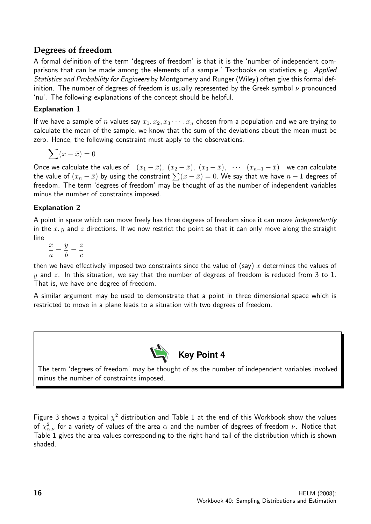## **Degrees of freedom**

A formal definition of the term 'degrees of freedom' is that it is the 'number of independent comparisons that can be made among the elements of a sample.' Textbooks on statistics e.g. Applied Statistics and Probability for Engineers by Montgomery and Runger (Wiley) often give this formal definition. The number of degrees of freedom is usually represented by the Greek symbol  $\nu$  pronounced 'nu'. The following explanations of the concept should be helpful.

#### Explanation 1

If we have a sample of n values say  $x_1, x_2, x_3 \cdots, x_n$  chosen from a population and we are trying to calculate the mean of the sample, we know that the sum of the deviations about the mean must be zero. Hence, the following constraint must apply to the observations.

$$
\sum (x - \bar{x}) = 0
$$

Once we calculate the values of  $(x_1 - \bar{x}), (x_2 - \bar{x}), (x_3 - \bar{x}), \cdots (x_{n-1} - \bar{x})$  we can calculate the value of  $(x_n - \bar{x})$  by using the constraint  $\sum (x - \bar{x}) = 0$ . We say that we have  $n - 1$  degrees of freedom. The term 'degrees of freedom' may be thought of as the number of independent variables minus the number of constraints imposed.

#### Explanation 2

A point in space which can move freely has three degrees of freedom since it can move *independently* in the  $x, y$  and z directions. If we now restrict the point so that it can only move along the straight line

 $\overline{x}$ a =  $\hat{y}$ b = z c

then we have effectively imposed two constraints since the value of (say) x determines the values of  $y$  and  $z$ . In this situation, we say that the number of degrees of freedom is reduced from 3 to 1. That is, we have one degree of freedom.

A similar argument may be used to demonstrate that a point in three dimensional space which is restricted to move in a plane leads to a situation with two degrees of freedom.



The term 'degrees of freedom' may be thought of as the number of independent variables involved minus the number of constraints imposed.

Figure 3 shows a typical  $\chi^2$  distribution and Table 1 at the end of this Workbook show the values of  $\chi^2_{\alpha,\nu}$  for a variety of values of the area  $\alpha$  and the number of degrees of freedom  $\nu$ . Notice that Table 1 gives the area values corresponding to the right-hand tail of the distribution which is shown shaded.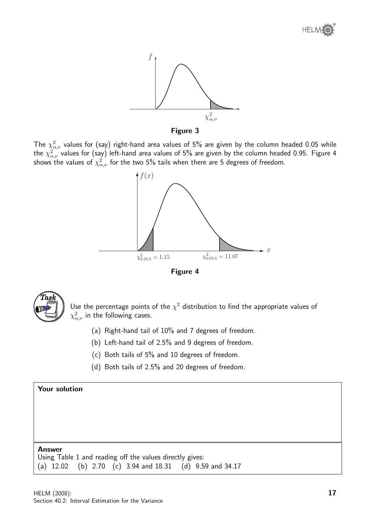





The  $\chi^2_{\alpha,\nu}$  values for (say) right-hand area values of 5% are given by the column headed 0.05 while the  $\chi^2_{\alpha,\nu}$  values for (say) left-hand area values of 5% are given by the column headed 0.95. Figure 4 shows the values of  $\chi^2_{\alpha,\nu}$  for the two 5% tails when there are 5 degrees of freedom.







Use the percentage points of the  $\chi^2$  distribution to find the appropriate values of  $\chi^2_{\alpha,\nu}$  in the following cases.

- (a) Right-hand tail of 10% and 7 degrees of freedom.
- (b) Left-hand tail of 2.5% and 9 degrees of freedom.
- (c) Both tails of 5% and 10 degrees of freedom.
- (d) Both tails of 2.5% and 20 degrees of freedom.

#### Your solution

#### Answer

Using Table 1 and reading off the values directly gives: (a) 12.02 (b) 2.70 (c) 3.94 and 18.31 (d) 9.59 and 34.17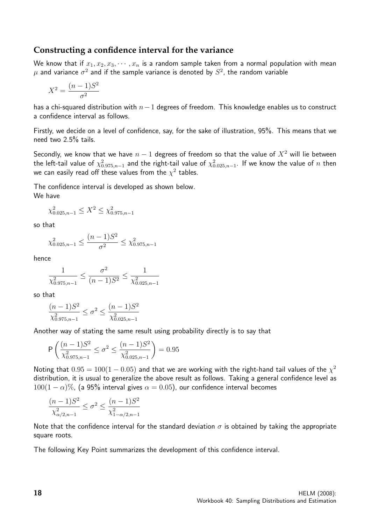#### **Constructing a confidence interval for the variance**

We know that if  $x_1, x_2, x_3, \cdots, x_n$  is a random sample taken from a normal population with mean  $\mu$  and variance  $\sigma^2$  and if the sample variance is denoted by  $S^2$ , the random variable

$$
X^2 = \frac{(n-1)S^2}{\sigma^2}
$$

has a chi-squared distribution with  $n-1$  degrees of freedom. This knowledge enables us to construct a confidence interval as follows.

Firstly, we decide on a level of confidence, say, for the sake of illustration, 95%. This means that we need two 2.5% tails.

Secondly, we know that we have  $n - 1$  degrees of freedom so that the value of  $X^2$  will lie between the left-tail value of  $\chi^2_{0.975,n-1}$  and the right-tail value of  $\chi^2_{0.025,n-1}.$  If we know the value of  $n$  then we can easily read off these values from the  $\chi^2$  tables.

The confidence interval is developed as shown below. We have

$$
\chi_{0.025,n-1}^2 \le X^2 \le \chi_{0.975,n-1}^2
$$

so that

$$
\chi^2_{0.025, n-1} \le \frac{(n-1)S^2}{\sigma^2} \le \chi^2_{0.975, n-1}
$$

hence

$$
\frac{1}{\chi^2_{0.975, n-1}} \le \frac{\sigma^2}{(n-1)S^2} \le \frac{1}{\chi^2_{0.025, n-1}}
$$

so that

$$
\frac{(n-1)S^2}{\chi^2_{0.975,n-1}} \le \sigma^2 \le \frac{(n-1)S^2}{\chi^2_{0.025,n-1}}
$$

Another way of stating the same result using probability directly is to say that

$$
\mathsf{P}\left(\frac{(n-1)S^2}{\chi^2_{0.975,n-1}} \leq \sigma^2 \leq \frac{(n-1)S^2}{\chi^2_{0.025,n-1}}\right) = 0.95
$$

Noting that  $0.95 = 100(1 - 0.05)$  and that we are working with the right-hand tail values of the  $\chi^2$ distribution, it is usual to generalize the above result as follows. Taking a general confidence level as  $100(1 - \alpha)\%$ , (a 95% interval gives  $\alpha = 0.05$ ), our confidence interval becomes

$$
\frac{(n-1)S^2}{\chi^2_{\alpha/2,n-1}} \leq \sigma^2 \leq \frac{(n-1)S^2}{\chi^2_{1-\alpha/2,n-1}}
$$

Note that the confidence interval for the standard deviation  $\sigma$  is obtained by taking the appropriate square roots.

The following Key Point summarizes the development of this confidence interval.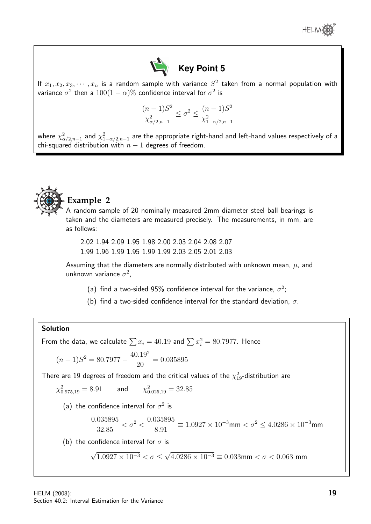



If  $x_1, x_2, x_3, \cdots, x_n$  is a random sample with variance  $S^2$  taken from a normal population with variance  $\sigma^2$  then a  $100(1-\alpha)\%$  confidence interval for  $\sigma^2$  is

$$
\frac{(n-1)S^2}{\chi^2_{\alpha/2,n-1}} \leq \sigma^2 \leq \frac{(n-1)S^2}{\chi^2_{1-\alpha/2,n-1}}
$$

where  $\chi^2_{\alpha/2,n-1}$  and  $\chi^2_{1-\alpha/2,n-1}$  are the appropriate right-hand and left-hand values respectively of a chi-squared distribution with  $n-1$  degrees of freedom.



## **Example 2**

A random sample of 20 nominally measured 2mm diameter steel ball bearings is taken and the diameters are measured precisely. The measurements, in mm, are as follows:

2.02 1.94 2.09 1.95 1.98 2.00 2.03 2.04 2.08 2.07 1.99 1.96 1.99 1.95 1.99 1.99 2.03 2.05 2.01 2.03

Assuming that the diameters are normally distributed with unknown mean,  $\mu$ , and unknown variance  $\sigma^2$ ,

- (a) find a two-sided 95% confidence interval for the variance,  $\sigma^2$ ;
- (b) find a two-sided confidence interval for the standard deviation,  $\sigma$ .

#### Solution

From the data, we calculate  $\sum x_i = 40.19$  and  $\sum x_i^2 = 80.7977$ . Hence

$$
(n-1)S^2 = 80.7977 - \frac{40.19^2}{20} = 0.035895
$$

There are 19 degrees of freedom and the critical values of the  $\chi^2_{19}$ -distribution are

$$
\chi^2_{0.975,19} = 8.91
$$
 and  $\chi^2_{0.025,19} = 32.85$ 

(a) the confidence interval for  $\sigma^2$  is

$$
\frac{0.035895}{32.85} < \sigma^2 < \frac{0.035895}{8.91} \equiv 1.0927 \times 10^{-3} \mathrm{mm} < \sigma^2 \leq 4.0286 \times 10^{-3} \mathrm{mm}
$$

(b) the confidence interval for  $\sigma$  is

$$
\sqrt{1.0927 \times 10^{-3}} < \sigma \le \sqrt{4.0286 \times 10^{-3}} \equiv 0.033 \, \text{mm} < \sigma < 0.063 \, \text{mm}
$$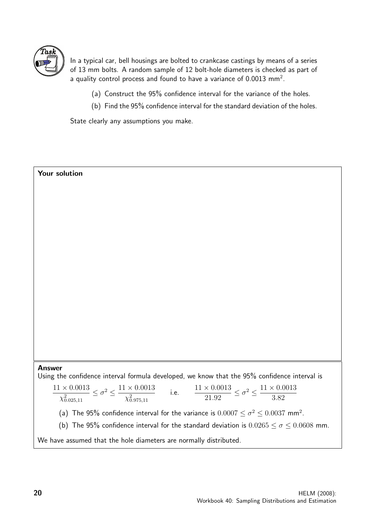

In a typical car, bell housings are bolted to crankcase castings by means of a series of 13 mm bolts. A random sample of 12 bolt-hole diameters is checked as part of a quality control process and found to have a variance of 0.0013 mm $^2\!$ .

- (a) Construct the 95% confidence interval for the variance of the holes.
- (b) Find the 95% confidence interval for the standard deviation of the holes.

State clearly any assumptions you make.

## Your solution Answer Using the confidence interval formula developed, we know that the 95% confidence interval is  $11\times0.0013$  $\chi^2_{0.025,11}$  $\leq \sigma^2 \leq \frac{11 \times 0.0013}{2}$  $\chi^2_{0.975,11}$ i.e.  $\frac{11 \times 0.0013}{21.09}$ 21.92  $\leq \sigma^2 \leq \frac{11 \times 0.0013}{2.00}$ 3.82 (a) The 95% confidence interval for the variance is  $0.0007 \leq \sigma^2 \leq 0.0037$  mm<sup>2</sup>. (b) The 95% confidence interval for the standard deviation is  $0.0265 \le \sigma \le 0.0608$  mm. We have assumed that the hole diameters are normally distributed.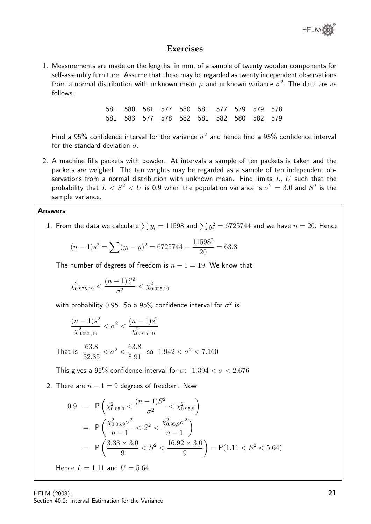

#### **Exercises**

1. Measurements are made on the lengths, in mm, of a sample of twenty wooden components for self-assembly furniture. Assume that these may be regarded as twenty independent observations from a normal distribution with unknown mean  $\mu$  and unknown variance  $\sigma^2.$  The data are as follows.

|  | 581 580 581 577 580 581 577 579 579 578 |  |  |  |
|--|-----------------------------------------|--|--|--|
|  | 581 583 577 578 582 581 582 580 582 579 |  |  |  |

Find a 95% confidence interval for the variance  $\sigma^2$  and hence find a 95% confidence interval for the standard deviation  $\sigma$ .

2. A machine fills packets with powder. At intervals a sample of ten packets is taken and the packets are weighed. The ten weights may be regarded as a sample of ten independent observations from a normal distribution with unknown mean. Find limits  $L, U$  such that the probability that  $L < S^2 < U$  is 0.9 when the population variance is  $\sigma^2 = 3.0$  and  $S^2$  is the sample variance.

#### Answers

1. From the data we calculate  $\sum y_i = 11598$  and  $\sum y_i^2 = 6725744$  and we have  $n = 20.$  Hence

$$
(n-1)s2 = \sum (y_i - \bar{y})^2 = 6725744 - \frac{11598^2}{20} = 63.8
$$

The number of degrees of freedom is  $n - 1 = 19$ . We know that

$$
\chi^2_{0.975,19} < \frac{(n-1)S^2}{\sigma^2} < \chi^2_{0.025,19}
$$

with probability 0.95. So a 95% confidence interval for  $\sigma^2$  is

$$
\frac{(n-1)s^2}{\chi^2_{0.025,19}} < \sigma^2 < \frac{(n-1)s^2}{\chi^2_{0.975,19}}
$$

That is 
$$
\frac{63.8}{32.85} < \sigma^2 < \frac{63.8}{8.91}
$$
 so  $1.942 < \sigma^2 < 7.160$ 

This gives a 95% confidence interval for  $\sigma$ :  $1.394 < \sigma < 2.676$ 

2. There are  $n - 1 = 9$  degrees of freedom. Now

$$
0.9 = P\left(\chi_{0.05,9}^2 < \frac{(n-1)S^2}{\sigma^2} < \chi_{0.95,9}^2\right)
$$
  
=  $P\left(\frac{\chi_{0.05,9}^2 \sigma^2}{n-1} < S^2 < \frac{\chi_{0.95,9}^2 \sigma^2}{n-1}\right)$   
=  $P\left(\frac{3.33 \times 3.0}{9} < S^2 < \frac{16.92 \times 3.0}{9}\right) = P(1.11 < S^2 < 5.64)$   
Hence  $L = 1.11$  and  $U = 5.64$ .

HELM (2008): Section 40.2: Interval Estimation for the Variance